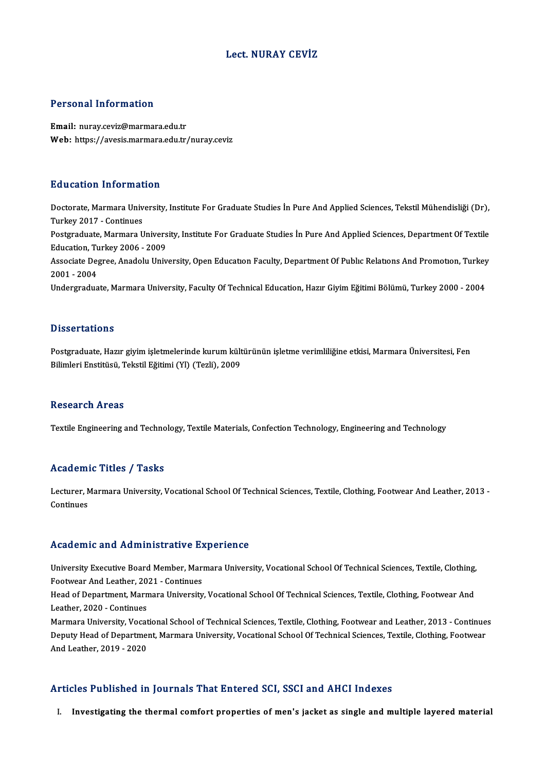### Lect.NURAY CEVİZ

### Personal Information

Email: nuray.ceviz@marmara.edu.tr Web: https://avesis.marmara.edu.tr/nuray.ceviz

#### Education Information

**Education Information**<br>Doctorate, Marmara University, Institute For Graduate Studies İn Pure And Applied Sciences, Tekstil Mühendisliği (Dr),<br>Turkey 2017, Continues Turkey<br>Doctorate, Marmara Univ<br>Turkey 2017 - Continues<br>Bostaraduate, Marmara II Doctorate, Marmara University, Institute For Graduate Studies İn Pure And Applied Sciences, Tekstil Mühendisliği (Dr),<br>Turkey 2017 - Continues<br>Postgraduate, Marmara University, Institute For Graduate Studies İn Pure And Ap Turkey 2017 - Continues<br>Postgraduate, Marmara Univers<br>Education, Turkey 2006 - 2009<br>Associate Degree, Anadelu Univ Postgraduate, Marmara University, Institute For Graduate Studies İn Pure And Applied Sciences, Department Of Textile<br>Education, Turkey 2006 - 2009<br>Associate Degree, Anadolu University, Open Education Faculty, Department Of Education, Tu<br>Associate De<sub>l</sub><br>2001 - 2004<br>Undergredue Associate Degree, Anadolu University, Open Education Faculty, Department Of Public Relations And Promotion, Turkey<br>2001 - 2004<br>Undergraduate, Marmara University, Faculty Of Technical Education, Hazır Giyim Eğitimi Bölümü,

### **Dissertations**

Postgraduate, Hazır giyim işletmelerinde kurum kültürünün işletme verimliliğine etkisi, Marmara Üniversitesi, Fen Bilimleri Enstitüsü, Tekstil Eğitimi (Yl) (Tezli), 2009

#### **Research Areas**

Textile Engineering and Technology, Textile Materials, Confection Technology, Engineering and Technology

#### Academic Titles / Tasks

Academic Titles / Tasks<br>Lecturer, Marmara University, Vocational School Of Technical Sciences, Textile, Clothing, Footwear And Leather, 2013 -<br>Continues Lecturer, N.<br>Lecturer, N.<br>Continues

# Academic and Administrative Experience

Academic and Administrative Experience<br>University Executive Board Member, Marmara University, Vocational School Of Technical Sciences, Textile, Clothing,<br>Featurest And Lether 2021, Continues FootwearAnd Trammoeractve<br>Thiversity Executive Board Member, Mari<br>Footwear And Leather, 2021 - Continues<br>Head of Department, Marmara University University Executive Board Member, Marmara University, Vocational School Of Technical Sciences, Textile, Clothing,<br>Footwear And Leather, 2021 - Continues<br>Head of Department, Marmara University, Vocational School Of Technic Footwear And Leather, 20<br>Head of Department, Marn<br>Leather, 2020 - Continues<br>Marmara University, Vesst Head of Department, Marmara University, Vocational School Of Technical Sciences, Textile, Clothing, Footwear And<br>Leather, 2020 - Continues<br>Marmara University, Vocational School of Technical Sciences, Textile, Clothing, Foo Leather, 2020 - Continues<br>Marmara University, Vocational School of Technical Sciences, Textile, Clothing, Footwear and Leather, 2013 - Continue<br>Deputy Head of Department, Marmara University, Vocational School Of Technical Marmara University, Vocat<br>Deputy Head of Departme<br>And Leather, 2019 - 2020 And Leather, 2019 - 2020<br>Articles Published in Journals That Entered SCI, SSCI and AHCI Indexes

I. Investigating the thermal comfort properties of men's jacket as single and multiple layered material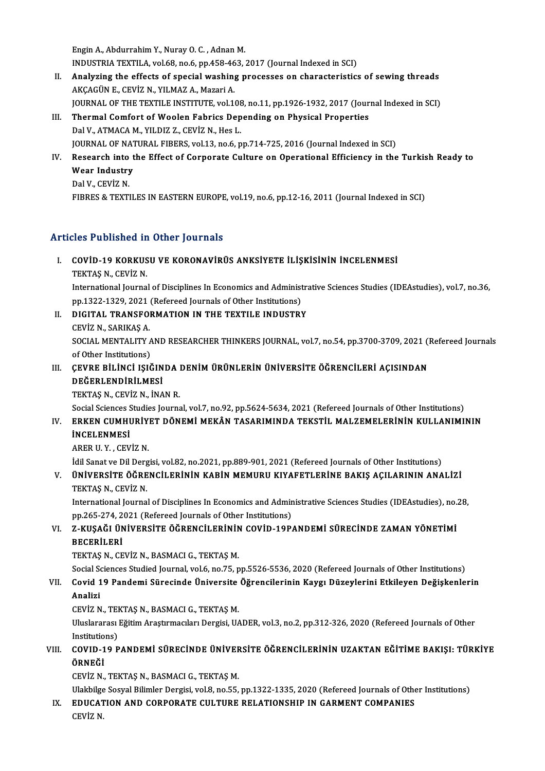EnginA.,AbdurrahimY.,NurayO.C. ,AdnanM. Engin A., Abdurrahim Y., Nuray O. C. , Adnan M.<br>INDUSTRIA TEXTILA, vol.68, no.6, pp.458-463, 2017 (Journal Indexed in SCI)<br>Analyging the effects of special weaking presesses on aborasteristics

- II. Analyzing the effects of special washing processes on characteristics of sewing threads AKCAGÜN E., CEVIZ N., YILMAZ A., Mazari A. INDUSTRIA TEXTILA, vol.68, no.6, pp.458-46<br>Analyzing the effects of special washing<br>AKÇAGÜN E., CEVİZ N., YILMAZ A., Mazari A.<br>JOUPNAL OF THE TEYTU E INSTITUTE vol.14 Analyzing the effects of special washing processes on characteristics of sewing threads<br>AKÇAGÜN E., CEVİZ N., YILMAZ A., Mazari A.<br>JOURNAL OF THE TEXTILE INSTITUTE, vol.108, no.11, pp.1926-1932, 2017 (Journal Indexed in SC
- III. Thermal Comfort of Woolen Fabrics Depending on Physical Properties<br>Dal V., ATMACA M., YILDIZ Z., CEVİZ N., Hes L. **JOURNAL OF THE TEXTILE INSTITUTE, vol.108**<br>Thermal Comfort of Woolen Fabrics Dep<br>Dal V., ATMACA M., YILDIZ Z., CEVİZ N., Hes L.<br>JOUPNAL OF NATURAL FIRERS vol.13, ne.6, n JOURNAL OF NATURAL FIBERS, vol.13, no.6, pp.714-725, 2016 (Journal Indexed in SCI)
- Dal V., ATMACA M., YILDIZ Z., CEVİZ N., Hes L.<br>JOURNAL OF NATURAL FIBERS, vol.13, no.6, pp.714-725, 2016 (Journal Indexed in SCI)<br>IV. Research into the Effect of Corporate Culture on Operational Efficiency in the Turkis JOURNAL OF NAT<br>Research into t<br>Wear Industry<br>Del.V. CEVIZ N Research into<br>Wear Industry<br>Dal V., CEVİZ N.<br>FIPPES & TEVTI Wear Industry<br>Dal V., CEVİZ N.<br>FIBRES & TEXTILES IN EASTERN EUROPE, vol.19, no.6, pp.12-16, 2011 (Journal Indexed in SCI)

## Articles Published in Other Journals

- Tticles Published in Other Journals<br>I. COVID-19 KORKUSU VE KORONAVİRÜS ANKSIYETE İLİŞKİSİNİN İNCELENMESİ<br>TEKTAS N. CEVİZ N TEKTAŞ N., CEVİZ N.<br>TEKTAŞ N., CEVİZ N.<br>International Jeurna
	-

TEKTAŞ N., CEVİZ N.<br>International Journal of Disciplines In Economics and Administrative Sciences Studies (IDEAstudies), vol.7, no.36, pp.1322-1329, 2021 (Refereed Journals of Other Institutions) International Journal of Disciplines In Economics and Administral<br>pp.1322-1329, 2021 (Refereed Journals of Other Institutions)<br>II. DIGITAL TRANSFORMATION IN THE TEXTILE INDUSTRY<br>CEVIZ N. SAPIKAS A

# PP.1322-1329, 2021<br>DIGITAL TRANSFOI<br>CEVİZ N., SARIKAŞ A.<br>SOCIAL MENTALITY

DIGITAL TRANSFORMATION IN THE TEXTILE INDUSTRY<br>CEVİZ N., SARIKAŞ A.<br>SOCIAL MENTALITY AND RESEARCHER THINKERS JOURNAL, vol.7, no.54, pp.3700-3709, 2021 (Refereed Journals<br>of Other Institutione) CEVİZ N., SARIKAŞ A.<br>SOCIAL MENTALITY A<br>of Other Institutions)<br>CEVPE PULINCI ISLÂ SOCIAL MENTALITY AND RESEARCHER THINKERS JOURNAL, vol.7, no.54, pp.3700-3709, 2021 (1<br>of Other Institutions)<br>III. CEVRE BİLİNCİ IŞIĞINDA DENİM ÜRÜNLERİN ÜNİVERSİTE ÖĞRENCİLERİ AÇISINDAN<br>DEĞEPI ENDİRİLMESİ

## of Other Institutions)<br>ÇEVRE BİLİNCİ IŞIĞIN<br>DEĞERLENDİRİLMESİ<br>TEKTAS N. ÇEVİZ N. İNA DEĞERLENDİRİLMESİ<br>TEKTAŞ N., CEVİZ N., İNAN R. DEĞERLENDİRİLMESİ<br>TEKTAŞ N., CEVİZ N., İNAN R.<br>Social Sciences Studies Journal, vol.7, no.92, pp.5624-5634, 2021 (Refereed Journals of Other Institutions)<br>ERKEN CUMUURİYET DÖNEMİ MEKÂN TASARIMINDA TEKSTİL MALZEMELERİNIN KU

## IV. ERKEN CUMHURİYET DÖNEMİ MEKÂN TASARIMINDA TEKSTİL MALZEMELERİNİN KULLANIMININ İNCELENMESİ Social Sciences S<br>ERKEN CUMHI<br>İNCELENMESİ<br>APER II V. CEV İNCELENMESİ<br>ARER U. Y. , CEVİZ N.<br>İdil Sanat ve Dil Dergisi, vol.82, no.2021, pp.889-901, 2021 (Refereed Journals of Other Institutions)<br>ÜNİVERSİTE ÖĞRENCÜ ERİNİN KARİN MEMURU KIVAEETI ERİNE BAKIS ACU ARININ ANA

ARERU.Y. ,CEVİZN.

## V. ÜNİVERSİTE ÖĞRENCİLERİNİN KABİN MEMURU KIYAFETLERİNE BAKIŞ AÇILARININ ANALİZİ İdil Sanat ve Dil Derg<br><mark>ÜNİVERSİTE ÖĞRE</mark><br>TEKTAŞ N., CEVİZ N.<br>International Iourna UNIVERSITE ÖĞRENCILERININ KABIN MEMURU KIYAFETLERINE BAKIŞ AÇILARININ ANALIZI<br>TEKTAŞ N., CEVIZ N.<br>International Journal of Disciplines In Economics and Administrative Sciences Studies (IDEAstudies), no.28,<br>nn 265, 274, 202

TEKTAŞ N., CEVİZ N.<br>International Journal of Disciplines In Economics and Admir<br>pp.265-274, 2021 (Refereed Journals of Other Institutions)<br>z. KUSAĞI ÜNİVERSİTE ÖĞRENCİLERİNİN COVİD 19R. International Journal of Disciplines In Economics and Administrative Sciences Studies (IDEAstudies), no.:<br>pp.265-274, 2021 (Refereed Journals of Other Institutions)<br>VI. Z-KUŞAĞI ÜNİVERSİTE ÖĞRENCİLERİNİN COVİD-19PANDEMİ SÜ

# pp.265-274, 2021 (Refereed Journals of Other Institutions)<br>VI. Z-KUŞAĞI ÜNİVERSİTE ÖĞRENCİLERİNİN COVİD-19PANDEMİ SÜRECİNDE ZAMAN YÖNETİMİ<br>BECERİLERİ

TEKTAŞ N., CEVİZ N., BASMACI G., TEKTAŞ M.

Social Sciences Studied Journal, vol.6, no.75, pp.5526-5536, 2020 (Refereed Journals of Other Institutions)

## TEKTAŞ N., CEVİZ N., BASMACI G., TEKTAŞ M.<br>Social Sciences Studied Journal, vol.6, no.75, pp.5526-5536, 2020 (Refereed Journals of Other Institutions)<br>VII. Covid 19 Pandemi Sürecinde Üniversite Öğrencilerinin Kaygı Düz Social Se<br>Covid 1<br>Analizi<br>CEViz N Covid 19 Pandemi Sürecinde Üniversite<br>Analizi<br>CEVİZ N., TEKTAŞ N., BASMACI G., TEKTAŞ M.<br>Hluelararecı Fğitim Arestrmacıları Dergici HA

Analizi<br>CEVİZ N., TEKTAŞ N., BASMACI G., TEKTAŞ M.<br>Uluslararası Eğitim Araştırmacıları Dergisi, UADER, vol.3, no.2, pp.312-326, 2020 (Refereed Journals of Other<br>Institutions) CEVİZ N., TEI<br>Uluslararası<br>Institutions)<br>COVID 19 B Vluslararası Eğitim Araştırmacıları Dergisi, UADER, vol.3, no.2, pp.312-326, 2020 (Refereed Journals of Other<br>Institutions)<br>VIII. COVID-19 PANDEMİ SÜRECİNDE ÜNİVERSİTE ÖĞRENCİLERİNİN UZAKTAN EĞİTİME BAKIŞI: TÜRKİYE<br>ÖRNEĞİ

## Institutio<br>COVID-1<br>ÖRNEĞİ<br>CEVİZ N ÖRNEĞİ<br>CEVİZ N., TEKTAŞ N., BASMACI G., TEKTAŞ M.<br>Ulakbilge Sosyal Bilimler Dergisi, vol.8, no.55, pp.1322-1335, 2020 (Refereed Journals of Other Institutions)<br>EDUCATION AND CORRORATE CULTURE RELATIONSHIR IN CARMENT COMRAN

ÖRNEĞİ<br>CEVİZ N., TEKTAŞ N., BASMACI G., TEKTAŞ M.

CEVİZ N., TEKTAŞ N., BASMACI G., TEKTAŞ M.<br>Ulakbilge Sosyal Bilimler Dergisi, vol.8, no.55, pp.1322-1335, 2020 (Refereed Journals of Othe<br>IX. EDUCATION AND CORPORATE CULTURE RELATIONSHIP IN GARMENT COMPANIES Ulakbilge<br><mark>EDUCAT</mark><br>CEVİZ N.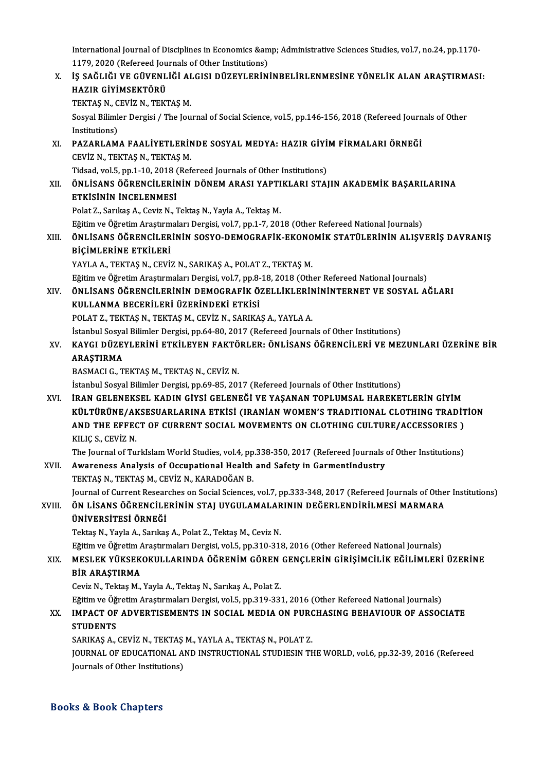International Journal of Disciplines in Economics & Administrative Sciences Studies, vol.7, no.24, pp.1170-<br>1179, 2020 (Refereed Journale of Other Institutions) International Journal of Disciplines in Economics &am<br>1179, 2020 (Refereed Journals of Other Institutions)<br>الأو جودُوا بكر بكر بكر بكر التوابع التي يتواجه التوابع التوابع

International Journal of Disciplines in Economics & Administrative Sciences Studies, vol.7, no.24, pp.1170-<br>1179, 2020 (Refereed Journals of Other Institutions)<br>X. IS SAĞLIĞI VE GÜVENLİĞİ ALGISI DÜZEYLERİNİNBELİRLENMES 1179, 2020 (Refereed Journals of Other Institutions)<br>IŞ SAĞLIĞI VE GÜVENLIĞI ALGISI DÜZEYLERIN<br>HAZIR GİYİMSEKTÖRÜ X. IS SAĞLIĞI VE GÜVENLIĞI ALGISI DÜZEYLERININBELIRLENMESINE YÖNELIK ALAN ARASTIRMASI: Sosyal Bilimler Dergisi / The Journal of Social Science, vol.5, pp.146-156, 2018 (Refereed Journals of Other Institutions) TEKTAŞ N., CEVİZ N., TEKTAŞ M. Sosyal Bilimler Dergisi / The Journal of Social Science, vol.5, pp.146-156, 2018 (Refereed Journ<br>Institutions)<br>XI. PAZARLAMA FAALİYETLERİNDE SOSYAL MEDYA: HAZIR GİYİM FİRMALARI ÖRNEĞİ<br>CEVİZ N. TEKTAS N. TEKTAS M Institutions)<br>PAZARLAMA FAALİYETLERİN.<br>CEVİZ N., TEKTAŞ N., TEKTAŞ M.<br>Tidsəd. vəl 5. nn 1.10.2018 (Ref PAZARLAMA FAALİYETLERİNDE SOSYAL MEDYA: HAZIR GİYİ<br>CEVİZ N., TEKTAŞ N., TEKTAŞ M.<br>Tidsad, vol.5, pp.1-10, 2018 (Refereed Journals of Other Institutions)<br>ÖNLİSANS ÖĞRENCİLERİNİN DÖNEM ARASI YARTIKLARI STAI CEVİZ N., TEKTAŞ N., TEKTAŞ M.<br>Tidsad, vol.5, pp.1-10, 2018 (Refereed Journals of Other Institutions)<br>XII. ÖNLİSANS ÖĞRENCİLERİNİN DÖNEM ARASI YAPTIKLARI STAJIN AKADEMİK BAŞARILARINA<br>ETKİSİNİN İNCELENMESİ Tidsad, vol.5, pp.1-10, 2018<br>ÖNLİSANS ÖĞRENCİLERİN<br>ETKİSİNİN İNCELENMESİ<br>Polat 7, Sarılma A, Caviz N, 1 ÖNLİSANS ÖĞRENCİLERİNİN DÖNEM ARASI YAPTI<br>ETKİSİNİN İNCELENMESİ<br>Polat Z., Sarıkaş A., Ceviz N., Tektaş N., Yayla A., Tektaş M.<br>Fğitim ve Öğretim Arastrumaları Dergisi vel 7, nn 1, 7, 201 ETKİSİNİN İNCELENMESİ<br>Polat Z., Sarıkaş A., Ceviz N., Tektaş N., Yayla A., Tektaş M.<br>Eğitim ve Öğretim Araştırmaları Dergisi, vol.7, pp.1-7, 2018 (Other Refereed National Journals)<br>ÖNL İSANS ÖĞRENCÜ ERİNİN SOSYO DEMOCRAEİK Polat Z., Sarıkaş A., Ceviz N., Tektaş N., Yayla A., Tektaş M.<br>Eğitim ve Öğretim Araştırmaları Dergisi, vol.7, pp.1-7, 2018 (Other Refereed National Journals)<br>XIII. ÖNLİSANS ÖĞRENCİLERİNİN SOSYO-DEMOGRAFİK-EKONOMİK STA Eğitim ve Öğretim Araştırm<br><mark>ÖNLİSANS ÖĞRENCİLER</mark><br>BİÇİMLERİNE ETKİLERİ<br>YAVLA A TEKTAS NESEVİ ÖNLİSANS ÖĞRENCİLERİNİN SOSYO-DEMOGRAFİK-EKONO<br>BİÇİMLERİNE ETKİLERİ<br>YAYLA A., TEKTAŞ N., CEVİZ N., SARIKAŞ A., POLAT Z., TEKTAŞ M.<br>Fğitim ve Öğretim Arestrumaları Dergisi vel 7-np 8-19-2019 (Oth BİÇİMLERİNE ETKİLERİ<br>YAYLA A., TEKTAŞ N., CEVİZ N., SARIKAŞ A., POLAT Z., TEKTAŞ M.<br>Eğitim ve Öğretim Araştırmaları Dergisi, vol.7, pp.8-18, 2018 (Other Refereed National Journals)<br>ÖNLİSANS ÖĞRENCÜ ERİNİN DEMOCRAFİK ÖZELLİ YAYLA A., TEKTAŞ N., CEVİZ N., SARIKAŞ A., POLAT Z., TEKTAŞ M.<br>Eğitim ve Öğretim Araştırmaları Dergisi, vol.7, pp.8-18, 2018 (Other Refereed National Journals)<br>XIV. ÖNLİSANS ÖĞRENCİLERİNİN DEMOGRAFİK ÖZELLİKLERİNİNİNTE Eğitim ve Öğretim Araştırmaları Dergisi, vol.7, pp.8-<br>ÖNLİSANS ÖĞRENCİLERİNİN DEMOGRAFİK Ö:<br>KULLANMA BECERİLERİ ÜZERİNDEKİ ETKİSİ<br>POLAT 7, TEKTAS N, TEKTAS M, GEVİZ N, SARIKA ÖNLİSANS ÖĞRENCİLERİNİN DEMOGRAFİK ÖZELLİKLERİN<br>KULLANMA BECERİLERİ ÜZERİNDEKİ ETKİSİ<br>POLAT Z., TEKTAŞ N., TEKTAŞ M., CEVİZ N., SARIKAŞ A., YAYLA A.<br>İstanbul Sosyal Bilimler Dergisi, nn 64, 80, 2017 (Befereed Jaurna KULLANMA BECERİLERİ ÜZERİNDEKİ ETKİSİ<br>POLAT Z., TEKTAŞ N., TEKTAŞ M., CEVİZ N., SARIKAŞ A., YAYLA A.<br>İstanbul Sosyal Bilimler Dergisi, pp.64-80, 2017 (Refereed Journals of Other Institutions) POLAT Z., TEKTAŞ N., TEKTAŞ M., CEVİZ N., SARIKAŞ A., YAYLA A.<br>İstanbul Sosyal Bilimler Dergisi, pp.64-80, 2017 (Refereed Journals of Other Institutions)<br>XV. KAYGI DÜZEYLERİNİ ETKİLEYEN FAKTÖRLER: ÖNLİSANS ÖĞRENCİLERİ İstanbul Sosya<br>KAYGI DÜZE<br>ARAŞTIRMA<br>PASMACLE T KAYGI DÜZEYLERİNİ ETKİLEYEN FAKTÖ<br>ARAŞTIRMA<br>BASMACI G., TEKTAŞ M., TEKTAŞ N., CEVİZ N.<br>İstanbul Sosval Bilimler Dergisi, pp.69, 85, 202 ARAŞTIRMA<br>BASMACI G., TEKTAŞ M., TEKTAŞ N., CEVİZ N.<br>İstanbul Sosyal Bilimler Dergisi, pp.69-85, 2017 (Refereed Journals of Other Institutions) XVI. İRAN GELENEKSEL KADIN GİYSİ GELENEĞİ VE YAŞANAN TOPLUMSAL HAREKETLERİN GİYİM KÜLTÜRÜNE/AKSESUARLARINA ETKİSİ (IRANİANWOMEN'S TRADITIONAL CLOTHING TRADİTİON İRAN GELENEKSEL KADIN GİYSİ GELENEĞİ VE YAŞANAN TOPLUMSAL HAREKETLERİN GİYİM<br>KÜLTÜRÜNE/AKSESUARLARINA ETKİSİ (IRANİAN WOMEN'S TRADITIONAL CLOTHING TRADİT<br>AND THE EFFECT OF CURRENT SOCIAL MOVEMENTS ON CLOTHING CULTURE/ACCES KÜLTÜRÜNE/AK<br>AND THE EFFEC<br>KILIÇ S., CEVİZ N.<br>The Journal of Tu AND THE EFFECT OF CURRENT SOCIAL MOVEMENTS ON CLOTHING CULTURE/ACCESSORIES )<br>KILIÇ S., CEVİZ N.<br>The Journal of TurkIslam World Studies, vol.4, pp.338-350, 2017 (Refereed Journals of Other Institutions)<br>Awaranees Analysis o KILIÇ S., CEVİZ N.<br>The Journal of TurkIslam World Studies, vol.4, pp.338-350, 2017 (Refereed Journals of Occupational Health and Safety in GarmentIndustry<br>XVII. Awareness Analysis of Occupational Health and Safety in Garme The Journal of TurkIslam World Studies, vol.4, pp<br>Awareness Analysis of Occupational Health<br>TEKTAŞ N., TEKTAŞ M., CEVİZ N., KARADOĞAN B.<br>Journal of Gurrent Bessensbes en Sosial Ssienses Awareness Analysis of Occupational Health and Safety in GarmentIndustry<br>TEKTAŞ N., TEKTAŞ M., CEVİZ N., KARADOĞAN B.<br>Journal of Current Researches on Social Sciences, vol.7, pp.333-348, 2017 (Refereed Journals of Other Ins TEKTAŞ N., TEKTAŞ M., CEVİZ N., KARADOĞAN B.<br>Journal of Current Researches on Social Sciences, vol.7, pp.333-348, 2017 (Refereed Journals of Othe<br>XVIII. ÖN LİSANS ÖĞRENCİLERİNİN STAJ UYGULAMALARININ DEĞERLENDİRİLMESİ M Journal of Current Resear<br>ÖN LİSANS ÖĞRENCİLE<br>ÜNİVERSİTESİ ÖRNEĞİ XVIII. ÖN LİSANS ÖĞRENCİLERİNİN STAJ UYGULAMALARININ DEĞERLENDİRİLMESİ MARMARA<br>ÜNİVERSİTESI ÖRNEĞİ<br>Tektaş N., Yayla A., Sarıkaş A., Polat Z., Tektaş M., Ceviz N. ÜNİVERSİTESİ ÖRNEĞİ<br>Tektaş N., Yayla A., Sarıkaş A., Polat Z., Tektaş M., Ceviz N.<br>Eğitim ve Öğretim Araştırmaları Dergisi, vol.5, pp.310-318, 2016 (Other Refereed National Journals)<br>MESLEK VÜKSEKOKULLARINDA ÖĞRENİM GÖREN XIX. MESLEK YÜKSEKOKULLARINDA ÖĞRENİMGÖREN GENÇLERİN GİRİŞİMCİLİK EĞİLİMLERİ ÜZERİNE Eğitim ve Öğretim A<br>MESLEK YÜKSEK<br>BİR ARAŞTIRMA<br>Ceviz N. Tektes M CevizN.,TektaşM.,YaylaA.,TektaşN.,SarıkaşA.,PolatZ. BİR ARAŞTIRMA<br>Ceviz N., Tektaş M., Yayla A., Tektaş N., Sarıkaş A., Polat Z.<br>Eğitim ve Öğretim Araştırmaları Dergisi, vol.5, pp.319-331, 2016 (Other Refereed National Journals)<br>IMBACT OF ADVERTISEMENTS IN SOCIAL MEDIA ON B Ceviz N., Tektaş M., Yayla A., Tektaş N., Sarıkaş A., Polat Z.<br>Eğitim ve Öğretim Araştırmaları Dergisi, vol.5, pp.319-331, 2016 (Other Refereed National Journals)<br>XX. IMPACT OF ADVERTISEMENTS IN SOCIAL MEDIA ON PURCHAS Eğitim ve Öğ<br>IMPACT OF<br>STUDENTS<br>SARIKAS A IMPACT OF ADVERTISEMENTS IN SOCIAL MEDIA ON PURO<br>STUDENTS<br>SARIKAŞ A., CEVİZ N., TEKTAŞ M., YAYLA A., TEKTAŞ N., POLAT Z.<br>JOUPNAL OE EDUCATIONAL AND INSTRUCTIONAL STUDIESIN TE STUDENTS<br>SARIKAŞ A., CEVİZ N., TEKTAŞ M., YAYLA A., TEKTAŞ N., POLAT Z.<br>JOURNAL OF EDUCATIONAL AND INSTRUCTIONAL STUDIESIN THE WORLD, vol.6, pp.32-39, 2016 (Refereed<br>Journals of Other Institutions) SARIKAȘ A., CEVİZ N., TEKTAŞ<br>JOURNAL OF EDUCATIONAL Al<br>Journals of Other Institutions) Journals of Other Institutions)<br>Books & Book Chapters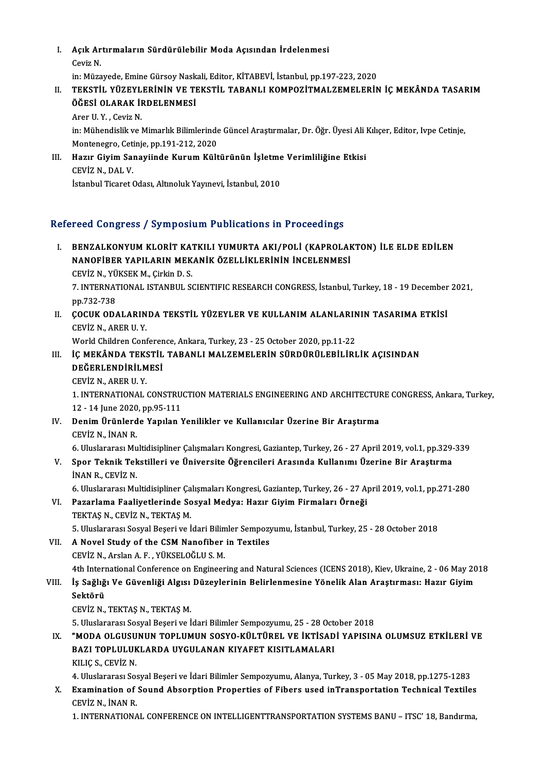I. Açık Artırmaların Sürdürülebilir Moda Açısından İrdelenmesi Açık Ar<br>Ceviz N.<br>in: Müze Açık Artırmaların Sürdürülebilir Moda Açısından İrdelenmesi<br>Ceviz N.<br>in: Müzayede, Emine Gürsoy Naskali, Editor, KİTABEVİ, İstanbul, pp.197-223, 2020<br>TEKSTİL, YÜZEVLERİNİN VE TEKSTİL TARANLI KOMPOZİTMALZEMELERİN

- Ceviz N.<br>in: Müzayede, Emine Gürsoy Naskali, Editor, KİTABEVİ, İstanbul, pp.197-223, 2020<br>II. TEKSTİL YÜZEYLERİNİN VE TEKSTİL TABANLI KOMPOZİTMALZEMELERİN İÇ MEKÂNDA TASARIM<br>ÖĞESİ OLARAK İRDELENMESİ in: Müzayede, Emine Gürsoy Nask<br>TEKSTİL YÜZEYLERİNİN VE TI<br>ÖĞESİ OLARAK İRDELENMESİ<br>Arer II Y. Ceviz N <mark>TEKSTİL YÜZEYL</mark><br>ÖĞESİ OLARAK İI<br>Arer U.Y. , Ceviz N.<br>in: Mühandislik ve l
	-

ÖĞESİ OLARAK İRDELENMESİ<br>Arer U. Y. , Ceviz N.<br>in: Mühendislik ve Mimarlık Bilimlerinde Güncel Araştırmalar, Dr. Öğr. Üyesi Ali Kılıçer, Editor, Ivpe Cetinje,<br>Montenegre, Cetinia, np.191.212.2020 Arer U. Y. , Ceviz N.<br>in: Mühendislik ve Mimarlık Bilimlerinde<br>Montenegro, Cetinje, pp.191-212, 2020<br>Hagur Givim Sanaviinde Kurum Kült in: Mühendislik ve Mimarlık Bilimlerinde Güncel Araştırmalar, Dr. Öğr. Üyesi Ali 1<br>Montenegro, Cetinje, pp.191-212, 2020<br>III. Hazır Giyim Sanayiinde Kurum Kültürünün İşletme Verimliliğine Etkisi<br>CEVİZ N. DAL V

## Montenegro, Cet<br><mark>Hazır Giyim Sa</mark><br>CEVİZ N., DAL V.<br>İstanbul Tisaret ( CEVİZ N., DAL V.<br>İstanbul Ticaret Odası, Altınoluk Yayınevi, İstanbul, 2010

## Refereed Congress / Symposium Publications in Proceedings

- efereed Congress / Symposium Publications in Proceedings<br>I. BENZALKONYUM KLORİT KATKILI YUMURTA AKI/POLİ (KAPROLAKTON) İLE ELDE EDİLEN<br>NANOFIRED YARILARIN MEKANIK ÖZELLİKI EDİNIN İNCELENMESİ NOGA GÖNEL 655 / BJ INPOSTAMI T ABIRALISMI IN TI BOCCATINGS<br>BENZALKONYUM KLORİT KATKILI YUMURTA AKI/POLİ (KAPROLAH<br>NANOFİBER YAPILARIN MEKANİK ÖZELLİKLERİNİN İNCELENMESİ BENZALKONYUM KLORİT KAT<br>NANOFİBER YAPILARIN MEK<br>CEVİZ N., YÜKSEK M., Çirkin D. S.<br>7. INTERNATIONAL ISTANPUL SA **NANOFİBER YAPILARIN MEKANİK ÖZELLİKLERİNİN İNCELENMESİ<br>7. INTERNATIONAL ISTANBUL SCIENTIFIC RESEARCH CONGRESS, İstanbul, Turkey, 18 - 19 December 2021,<br>7. INTERNATIONAL ISTANBUL SCIENTIFIC RESEARCH CONGRESS, İstanbul, Tur** CEVİZ N., YÜKSEK M., Çirkin D. S. 7. INTERNATIONAL ISTANBUL SCIENTIFIC RESEARCH CONGRESS, İstanbul, Turkey, 18 - 19 December<br>pp.732-738<br>II. COCUK ODALARINDA TEKSTİL YÜZEYLER VE KULLANIM ALANLARININ TASARIMA ETKİSİ<br>CEVİZ N. ARER II V
- pp.732-738<br>**ÇOCUK ODALARIN**<br>CEVİZ N., ARER U. Y.<br>World Children Cont COCUK ODALARINDA TEKSTİL YÜZEYLER VE KULLANIM ALANLARIN<br>CEVİZ N., ARER U. Y.<br>World Children Conference, Ankara, Turkey, 23 - 25 October 2020, pp.11-22<br>İC MEYÂNDA TEKSTİL TARANLI MALZEMELERİN SÜRDÜRÜLERLI EL

- CEVİZ N., ARER U. Y.<br>World Children Conference, Ankara, Turkey, 23 25 October 2020, pp.11-22<br>III. İÇ MEKÂNDA TEKSTİL TABANLI MALZEMELERİN SÜRDÜRÜLEBİLİRLİK AÇISINDAN<br>DEĞEPI ENDİRİLMESİ World Children Conference, Ankara, Turkey, 23 - 25 October 2020, pp.11-22<br>İÇ MEKÂNDA TEKSTİL TABANLI MALZEMELERİN SÜRDÜRÜLEBİLİRI<br>DEĞERLENDİRİLMESİ<br>CEVİZ N.. ARER U. Y. İÇ MEKÂNDA TEK:<br>DEĞERLENDİRİLM<br>CEVİZ N., ARER U. Y.<br>1. INTERNATIONAL
	-

DEĞERLENDİRİLMESİ<br>CEVİZ N., ARER U. Y.<br>1. INTERNATIONAL CONSTRUCTION MATERIALS ENGINEERING AND ARCHITECTURE CONGRESS, Ankara, Turkey,<br>12., 14 June 2020, np.95,111 CEVİZ N., ARER U. Y.<br>1. INTERNATIONAL CONSTRU<br>12 - 14 June 2020, pp.95-111<br>Donim Ürünlarda Yanılan N 1. INTERNATIONAL CONSTRUCTION MATERIALS ENGINEERING AND ARCHITECTUI<br>12 - 14 June 2020, pp.95-111<br>IV. Denim Ürünlerde Yapılan Yenilikler ve Kullanıcılar Üzerine Bir Araştırma<br>CEVİZ N. İNAN B

- 12 14 June 2020, pp.95-111<br>IV. Denim Ürünlerde Yapılan Yenilikler ve Kullanıcılar Üzerine Bir Araştırma<br>CEVİZ N., İNAN R.
- 6.UluslararasıMultidisipliner ÇalışmalarıKongresi,Gaziantep,Turkey,26 -27April2019,vol.1,pp.329-339 CEVİZ N., İNAN R.<br>6. Uluslararası Multidisipliner Çalışmaları Kongresi, Gaziantep, Turkey, 26 - 27 April 2019, vol.1, pp.329-<br>7. Spor Teknik Tekstilleri ve Üniversite Öğrencileri Arasında Kullanımı Üzerine Bir Araştırma<br>1. 6. Uluslararası Mu<br>Spor Teknik Tek<br>İNAN R., CEVİZ N.<br>6. Uluslararası Mu Spor Teknik Tekstilleri ve Üniversite Öğrencileri Arasında Kullanımı Üzerine Bir Araştırma<br>İNAN R., CEVİZ N.<br>6. Uluslararası Multidisipliner Çalışmaları Kongresi, Gaziantep, Turkey, 26 - 27 April 2019, vol.1, pp.271-280<br>Pa
	-

İNAN R., CEVİZ N.<br>6. Uluslararası Multidisipliner Çalışmaları Kongresi, Gaziantep, Turkey, 26 - 27 A<sub>l</sub><br>VI. Pazarlama Faaliyetlerinde Sosyal Medya: Hazır Giyim Firmaları Örneği<br>TEKTAŞ N., CEVİZ N., TEKTAŞ M. 6. Uluslararası Multidisipliner Ça<br>Pazarlama Faaliyetlerinde So<br>TEKTAŞ N., CEVİZ N., TEKTAŞ M.<br>5. Uluslararası Sosval Beseri ve İ 5. Uluslararası Sosyal Beşeri ve İdari Bilimler Sempozyumu, İstanbul, Turkey, 25 - 28 October 2018

VII. A Novel Study of the CSM Nanofiber in Textiles CEVİZN.,ArslanA.F. ,YÜKSELOĞLUS.M. 4th International Conference on Engineering and Natural Sciences (ICENS 2018), Kiev, Ukraine, 2 - 06 May 2018

CEVİZ N., Arslan A. F. , YÜKSELOĞLU S. M.<br>4th International Conference on Engineering and Natural Sciences (ICENS 2018), Kiev, Ukraine, 2 - 06 May 20<br>19 VIII. İş Sağlığı Ve Güvenliği Algısı Düzeylerinin Belirlenmesine 4th Interi<br>İş Sağlığ<br>Sektörü<br><sub>C</sub>eviz N İş Sağlığı Ve Güvenliği Algısı<br>Sektörü<br>CEVİZ N., TEKTAŞ N., TEKTAŞ M.<br>5. Uluslararası Sesval Beseri ve İ

Sektörü<br>CEVİZ N., TEKTAŞ N., TEKTAŞ M.<br>5. Uluslararası Sosyal Beşeri ve İdari Bilimler Sempozyumu, 25 - 28 October 2018

IX. "MODA OLGUSUNUN TOPLUMUN SOSYO-KÜLTÜREL VE İKTİSADİ YAPISINA OLUMSUZ ETKİLERİ VE 5. Uluslararası Sosyal Beşeri ve İdari Bilimler Sempozyumu, 25 - 28 Octon<br>"MODA OLGUSUNUN TOPLUMUN SOSYO-KÜLTÜREL VE İKTİSAD<br>BAZI TOPLULUKLARDA UYGULANAN KIYAFET KISITLAMALARI<br>KULC S. CEVİZ N "MODA OLGUSU<br>BAZI TOPLULUK<br>KILIÇ S., CEVİZ N.<br>4. Uluslararası Sa

KILIÇ S., CEVİZ N.<br>4. Uluslararası Sosyal Beşeri ve İdari Bilimler Sempozyumu, Alanya, Turkey, 3 - 05 May 2018, pp.1275-1283

KILIÇ S., CEVİZ N.<br>4. Uluslararası Sosyal Beşeri ve İdari Bilimler Sempozyumu, Alanya, Turkey, 3 - 05 May 2018, pp.1275-1283<br>8. Examination of Sound Absorption Properties of Fibers used inTransportation Technical Texti 4. Uluslararası Sos<br>Examination of<br>CEVİZ N., İNAN R.<br>1. INTERNATIONA Examination of Sound Absorption Properties of Fibers used inTransportation Technical Textiles<br>CEVİZ N., İNAN R.<br>1. INTERNATIONAL CONFERENCE ON INTELLIGENTTRANSPORTATION SYSTEMS BANU – ITSC' 18, Bandırma,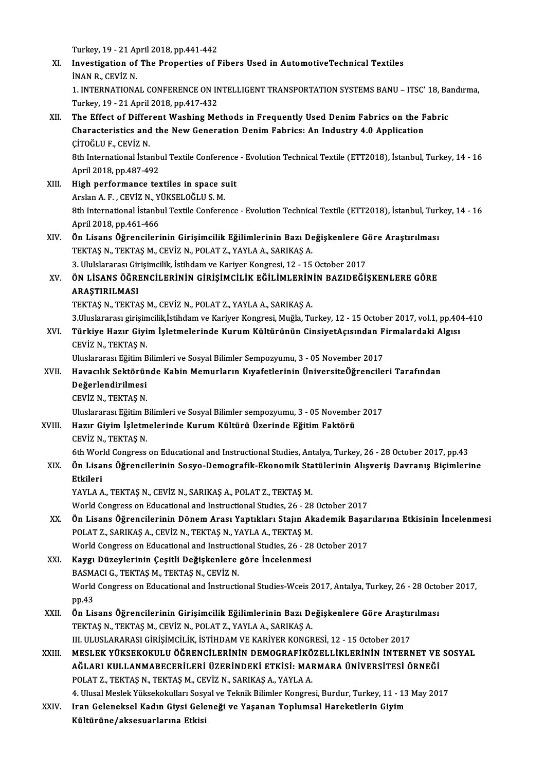Turkey, 19 - 21 April 2018, pp.441-442<br>Investigation of The Properties of I XI. Investigation of The Properties of Fibers Used in AutomotiveTechnical Textiles Turkey, 19 - 21 A<sub>l</sub><br>Investigation of<br>İNAN R., CEVİZ N.<br>1. INTERNATIONA Investigation of The Properties of Fibers Used in AutomotiveTechnical Textiles<br>INAN R., CEVIZ N.<br>1. INTERNATIONAL CONFERENCE ON INTELLIGENT TRANSPORTATION SYSTEMS BANU – ITSC' 18, Bandırma,<br>Turkay 10, 21 April 2018 pp.417. INAN R., CEVIZ N.<br>1. INTERNATIONAL CONFERENCE ON IN<br>Turkey, 19 - 21 April 2018, pp.417-432<br>The Effect of Different Weshing Me 1. INTERNATIONAL CONFERENCE ON INTELLIGENT TRANSPORTATION SYSTEMS BANU – ITSC' 18, Ba<br>Turkey, 19 - 21 April 2018, pp.417-432<br>XII. The Effect of Different Washing Methods in Frequently Used Denim Fabrics on the Fabric<br>Chara Turkey, 19 - 21 April 2018, pp.417-432<br>The Effect of Different Washing Methods in Frequently Used Denim Fabrics on the F<br>Characteristics and the New Generation Denim Fabrics: An Industry 4.0 Application<br>CiTOČLU E. CEVIZ N Characteristics and the New Generation Denim Fabrics: An Industry 4.0 Application CITOĞLU F., CEVIZ N. Characteristics and the New Generation Denim Fabrics: An Industry 4.0 Application<br>ÇİTOĞLU F., CEVİZ N.<br>8th International İstanbul Textile Conference - Evolution Technical Textile (ETT2018), İstanbul, Turkey, 14 - 16<br>April ÇİTOĞLU F., CEVİZ N.<br>8th International İstanbı<br>April 2018, pp.487-492<br>Hish performanec tex 8th International Istanbul Textile Conference<br>April 2018, pp.487-492<br>XIII. High performance textiles in space suit<br>Arelan A E. CEVIZ N. VÜKSELOČLUS M April 2018, pp.487-492<br><mark>High performance textiles in space s</mark><br>Arslan A. F. , CEVİZ N., YÜKSELOĞLU S. M.<br><sup>9th International İstanbul Textile Cenfore</sup> Arslan A. F. , CEVİZ N., YÜKSELOĞLU S. M.<br>8th International İstanbul Textile Conference - Evolution Technical Textile (ETT2018), İstanbul, Turkey, 14 - 16 April2018,pp.461-466 8th International İstanbul Textile Conference - Evolution Technical Textile (ETT2018), İstanbul, Turl<br>April 2018, pp.461-466<br>XIV. Ön Lisans Öğrencilerinin Girişimcilik Eğilimlerinin Bazı Değişkenlere Göre Araştırılması<br>TEK TEKTAŞ N., TEKTAŞ M., CEVİZ N., POLAT Z., YAYLA A., SARIKAŞ A. Ön Lisans Öğrencilerinin Girişimcilik Eğilimlerinin Bazı Değişkenlere G<br>TEKTAŞ N., TEKTAŞ M., CEVİZ N., POLAT Z., YAYLA A., SARIKAŞ A.<br>3. Ululslararası Girişimcilik, İstihdam ve Kariyer Kongresi, 12 - 15 October 2017<br>ÖN Lİ XV. ÖN LİSANS ÖĞRENCİLERİNİN GİRİŞİMCİLİK EĞİLİMLERİNİN BAZIDEĞİŞKENLERE GÖRE 3. Ululslararası Girişimcilik, İstihdam ve Kariyer Kongresi, 12 - 15 October 2017 TEKTAŞ N., TEKTAŞ M., CEVİZ N., POLAT Z., YAYLA A., SARIKAŞ A. ARAŞTIRILMASI<br>TEKTAŞ N., TEKTAŞ M., CEVİZ N., POLAT Z., YAYLA A., SARIKAŞ A.<br>3.Uluslararası girişimcilik,İstihdam ve Kariyer Kongresi, Muğla, Turkey, 12 - 15 October 2017, vol.1, pp.404-410<br>Türkiye Harır Çiyim İslatmaların TEKTAŞ N., TEKTAŞ M., CEVİZ N., POLAT Z., YAYLA A., SARIKAŞ A.<br>3.Uluslararası girişimcilik,İstihdam ve Kariyer Kongresi, Muğla, Turkey, 12 - 15 October 2017, vol.1, pp.40<br>2011 - Türkiye Hazır Giyim İşletmelerinde Kurum Kül 3.Uluslararası girişim<br>**Türkiye Hazır Giyi**<br>CEVİZ N., TEKTAŞ N.<br>Uluslararası Fğitim P Türkiye Hazır Giyim İşletmelerinde Kurum Kültürünün CinsiyetAçısından F<br>CEVİZ N., TEKTAŞ N.<br>Uluslararası Eğitim Bilimleri ve Sosyal Bilimler Sempozyumu, 3 - 05 November 2017<br>Havasılık Sektöründe Kabin Memurların Kuvafatler CEVİZ N., TEKTAŞ N.<br>Uluslararası Eğitim Bilimleri ve Sosyal Bilimler Sempozyumu, 3 - 05 November 2017<br>XVII. Havacılık Sektöründe Kabin Memurların Kıyafetlerinin ÜniversiteÖğrencileri Tarafından<br>Değerlendirilmesi Uluslararası Eğitim Bilimleri ve Sosyal Bilimler Sempozyumu, 3 - 05 November 2017<br>Havacılık Sektöründe Kabin Memurların Kıyafetlerinin ÜniversiteÖğrencile<br>Değerlendirilmesi<br>CEVİZ N., TEKTAS N. Havacılık Sektörür<br>Değerlendirilmesi<br>CEVİZ N., TEKTAŞ N.<br>Uluclararası Fğitim P UluslararasıEğitimBilimlerive SosyalBilimler sempozyumu,3 -05November 2017 CEVİZ N., TEKTAŞ N.<br>Uluslararası Eğitim Bilimleri ve Sosyal Bilimler sempozyumu, 3 - 05 Novembe<br>XVIII. Hazır Giyim İşletmelerinde Kurum Kültürü Üzerinde Eğitim Faktörü<br>CEVİZ N. TEKTAS N Uluslararası Eğitim B<br>H<mark>azır Giyim İşletm</mark><br>CEVİZ N., TEKTAŞ N.<br><sup>6th Morld Congrees</sup> 6th World Congress on Educational and Instructional Studies, Antalya, Turkey, 26 - 28 October 2017, pp.43<br>6th World Congress on Educational and Instructional Studies, Antalya, Turkey, 26 - 28 October 2017, pp.43 CEVİZ N., TEKTAŞ N.<br>6th World Congress on Educational and Instructional Studies, Antalya, Turkey, 26 - 28 October 2017, pp.43<br>XIX. Ön Lisans Öğrencilerinin Sosyo-Demografik-Ekonomik Statülerinin Alışveriş Davranış Biçi 6th Wor<br>**Ön Lisa**<br>Etkileri<br><sup>VAVI A</sup> A Ön Lisans Öğrencilerinin Sosyo-Demografik-Ekonomik Sta<br>Etkileri<br>YAYLA A., TEKTAŞ N., CEVİZ N., SARIKAŞ A., POLAT Z., TEKTAŞ M.<br>Werld Congress en Educational and Instructional Studies 26, 28 Etkileri<br>YAYLA A., TEKTAŞ N., CEVİZ N., SARIKAŞ A., POLAT Z., TEKTAŞ M.<br>World Congress on Educational and Instructional Studies, 26 - 28 October 2017<br>Ön Lisans Öğrensilerinin Dönem Arası Yartılıları Staiın Alsademil: Beser XX. Ön Lisans Öğrencilerinin Dönem Arası Yaptıkları Stajın Akademik Başarılarına Etkisinin İncelenmesi POLAT Z., SARIKAŞ A., CEVİZ N., TEKTAŞ N., YAYLA A., TEKTAŞ M. World Congress on Educational and Instructional Studies, 26 - 28 October 2017 Ön Lisans Öğrencilerinin Dönem Arası Yaptıkları Stajın Akademik Başar<br>POLAT Z., SARIKAŞ A., CEVİZ N., TEKTAŞ N., YAYLA A., TEKTAŞ M.<br>World Congress on Educational and Instructional Studies, 26 - 28 October 2017<br>Kavgı Düzey XXI. Kaygı Düzeylerinin Çeşitli Değişkenlere göre İncelenmesi World Congress on Educational and Instruction<br>Kaygı Düzeylerinin Çeşitli Değişkenlere<br>BASMACI G., TEKTAŞ M., TEKTAŞ N., CEVİZ N.<br>World Congress on Educational and İnstructi Kaygı Düzeylerinin Çeşitli Değişkenlere göre İncelenmesi<br>BASMACI G., TEKTAŞ M., TEKTAŞ N., CEVİZ N.<br>World Congress on Educational and İnstructional Studies-Wceis 2017, Antalya, Turkey, 26 - 28 October 2017,<br>nn 43 BASM<br>World<br>pp.43<br>Ön Lig World Congress on Educational and İnstructional Studies-Wceis 2017, Antalya, Turkey, 26 - 28 Octo<br>pp.43<br>XXII. Ön Lisans Öğrencilerinin Girişimcilik Eğilimlerinin Bazı Değişkenlere Göre Araştırılması<br>TEKTAS N TEKTAS M CEVİZ pp.43<br>Ön Lisans Öğrencilerinin Girişimcilik Eğilimlerinin Bazı De<br>TEKTAŞ N., TEKTAŞ M., CEVİZ N., POLAT Z., YAYLA A., SARIKAŞ A.<br>III. III IISLARARASI GİRİSİMCİLİK İSTİHDAM VE KARİVER KONCE Ön Lisans Öğrencilerinin Girişimcilik Eğilimlerinin Bazı Değişkenlere Göre Araştır<br>TEKTAŞ N., TEKTAŞ M., CEVİZ N., POLAT Z., YAYLA A., SARIKAŞ A.<br>III. ULUSLARARASI GİRİŞİMCİLİK, İSTİHDAM VE KARİYER KONGRESİ, 12 - 15 Octobe TEKTAŞ N., TEKTAŞ M., CEVİZ N., POLAT Z., YAYLA A., SARIKAŞ A.<br>III. ULUSLARARASI GİRİŞİMCİLİK, İSTİHDAM VE KARİYER KONGRESİ, 12 - 15 October 2017<br>XXIII. MESLEK YÜKSEKOKULU ÖĞRENCİLERİNİN DEMOGRAFİKÖZELLİKLERİNİN İNTE III. ULUSLARARASI GİRİŞİMCİLİK, İSTİHDAM VE KARİYER KONGRESİ, 12 - 15 October 2017<br>MESLEK YÜKSEKOKULU ÖĞRENCİLERİNİN DEMOGRAFİKÖZELLİKLERİNİN İNTERNET VE<br>AĞLARI KULLANMABECERİLERİ ÜZERİNDEKİ ETKİSİ: MARMARA ÜNİVERSİTESİ ÖR MESLEK YÜKSEKOKULU ÖĞRENCİLERİNİN DEMOGRAFİKÖ<br>AĞLARI KULLANMABECERİLERİ ÜZERİNDEKİ ETKİSI: MAI<br>POLAT Z., TEKTAŞ N., TEKTAŞ M., CEVİZ N., SARIKAŞ A., YAYLA A.<br>4. Ulusel Meslek Yüksekelpılları Sesial ve Teknik Bilimler Konst AĞLARI KULLANMABECERİLERİ ÜZERİNDEKİ ETKİSİ: MARMARA ÜNİVERSİTESİ ÖRNEĞİ<br>POLAT Z., TEKTAŞ N., TEKTAŞ M., CEVİZ N., SARIKAŞ A., YAYLA A.<br>4. Ulusal Meslek Yüksekokulları Sosyal ve Teknik Bilimler Kongresi, Burdur, Turkey, 11 POLAT Z., TEKTAŞ N., TEKTAŞ M., CEVİZ N., SARIKAŞ A., YAYLA A.<br>4. Ulusal Meslek Yüksekokulları Sosyal ve Teknik Bilimler Kongresi, Burdur, Turkey, 11 - 13<br>XXIV. Iran Geleneksel Kadın Giysi Geleneği ve Yaşanan Toplumsal 4. Ulusal Meslek Yüksekokulları Sosy<br>Iran Geleneksel Kadın Giysi Gele<br>Kültürüne/aksesuarlarına Etkisi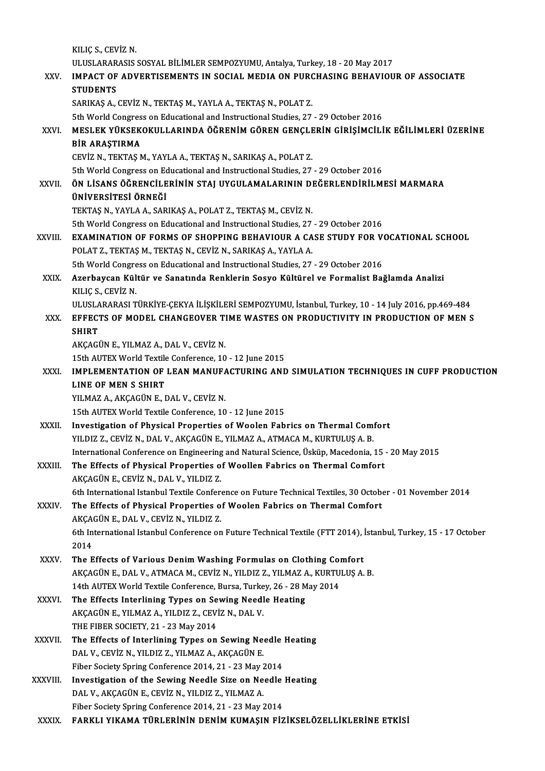KILIÇ S., CEVİZ N. KILIÇ S., CEVİZ N.<br>ULUSLARARASIS SOSYAL BİLİMLER SEMPOZYUMU, Antalya, Turkey, 18 - 20 May 2017<br>IMBACT OF ADVERTISEMENTS IN SOCIAL MEDIA ON BURCHASING BEHAVIOU XXV. IMPACT OF ADVERTISEMENTS IN SOCIAL MEDIA ON PURCHASING BEHAVIOUR OF ASSOCIATE<br>STUDENTS ULUSLARAR<br>IMPACT OF<br>STUDENTS<br>SARIKAS A SARIKAŞ A., CEVİZ N., TEKTAŞ M., YAYLA A., TEKTAŞ N., POLAT Z. 5th World Congress on Educational and Instructional Studies, 27 - 29 October 2016 SARIKAŞ A., CEVİZ N., TEKTAŞ M., YAYLA A., TEKTAŞ N., POLAT Z.<br>5th World Congress on Educational and Instructional Studies, 27 - 29 October 2016<br>XXVI. MESLEK YÜKSEKOKULLARINDA ÖĞRENİM GÖREN GENÇLERİN GİRİŞİMCİLİK EĞİLİMLER 5th World Congres<br>MESLEK YÜKSEK<br>BİR ARAŞTIRMA<br>CEVİZ N. TEKTAS N MESLEK YÜKSEKOKULLARINDA ÖĞRENİM GÖREN GENÇLE<br>BİR ARAŞTIRMA<br>CEVİZ N., TEKTAŞ M., YAYLA A., TEKTAŞ N., SARIKAŞ A., POLAT Z.<br>Eth World Congress on Educational and Instructional Studies, 27 BİR ARAŞTIRMA<br>CEVİZ N., TEKTAŞ M., YAYLA A., TEKTAŞ N., SARIKAŞ A., POLAT Z.<br>5th World Congress on Educational and Instructional Studies, 27 - 29 October 2016 CEVİZ N., TEKTAŞ M., YAYLA A., TEKTAŞ N., SARIKAŞ A., POLAT Z.<br>5th World Congress on Educational and Instructional Studies, 27 - 29 October 2016<br>XXVII. ÖN LİSANS ÖĞRENCİLERİNİN STAJ UYGULAMALARININ DEĞERLENDİRİLMESİ MA 5th World Congress on Ec<br>ÖN LİSANS ÖĞRENCİLE<br>ÜNİVERSİTESİ ÖRNEĞİ<br>TEKTAS N YAYLA A SAR ÖN LİSANS ÖĞRENCİLERİNİN STAJ UYGULAMALARININ DI<br>ÜNİVERSİTESİ ÖRNEĞİ<br>TEKTAŞ N., YAYLA A., SARIKAŞ A., POLAT Z., TEKTAŞ M., CEVİZ N.<br>Eth Werld Congress on Educational and Instructional Studies, 27 ÜNİVERSİTESİ ÖRNEĞİ<br>TEKTAŞ N., YAYLA A., SARIKAŞ A., POLAT Z., TEKTAŞ M., CEVİZ N.<br>5th World Congress on Educational and Instructional Studies, 27 - 29 October 2016<br>EXAMINATION OE EORMS OE SHORRING REHAVIOUR A GASE STUDY E TEKTAŞ N., YAYLA A., SARIKAŞ A., POLAT Z., TEKTAŞ M., CEVİZ N.<br>5th World Congress on Educational and Instructional Studies, 27 - 29 October 2016<br>XXVIII. EXAMINATION OF FORMS OF SHOPPING BEHAVIOUR A CASE STUDY FOR VOCATIONA 5th World Congress on Educational and Instructional Studies, 27<br>**EXAMINATION OF FORMS OF SHOPPING BEHAVIOUR A CA**<br>POLAT Z., TEKTAŞ M., TEKTAŞ N., CEVİZ N., SARIKAŞ A., YAYLA A.<br>Eth World Congress on Educational and Instruc EXAMINATION OF FORMS OF SHOPPING BEHAVIOUR A CASE STUDY FOR V<br>POLAT Z., TEKTAŞ M., TEKTAŞ N., CEVİZ N., SARIKAŞ A., YAYLA A.<br>5th World Congress on Educational and Instructional Studies, 27 - 29 October 2016<br>Araphayaan Kült POLAT Z., TEKTAŞ M., TEKTAŞ N., CEVİZ N., SARIKAŞ A., YAYLA A.<br>5th World Congress on Educational and Instructional Studies, 27 - 29 October 2016<br>XXIX. Azerbaycan Kültür ve Sanatında Renklerin Sosyo Kültürel ve Formalis 5th World Congress on Educational and Instructional Studies, 27 - 29 October 2016 Azerbaycan Kültür ve Sanatında Renklerin Sosyo Kültürel ve Formalist Bağlamda Analizi<br>KILIÇ S., CEVİZ N.<br>ULUSLARARASI TÜRKİYE-ÇEKYA İLİŞKİLERİ SEMPOZYUMU, İstanbul, Turkey, 10 - 14 July 2016, pp.469-484<br>EEEECTS OE MODEL CH KILIÇ S., CEVİZ N.<br>ULUSLARARASI TÜRKİYE-ÇEKYA İLİŞKİLERİ SEMPOZYUMU, İstanbul, Turkey, 10 - 14 July 2016, pp.469-484<br>XXX. EFFECTS OF MODEL CHANGEOVER TIME WASTES ON PRODUCTIVITY IN PRODUCTION OF MEN S ULUSLA<br>EFFECT<br>SHIRT<br>AKCACI XXX. EFFECTS OF MODEL CHANGEOVER TIME WASTES ON PRODUCTIVITY IN PRODUCTION OF MEN S<br>SHIRT<br>AKÇAGÜN E., YILMAZ A., DAL V., CEVİZ N. 15th AUTEX World Textile Conference, 10 - 12 June 2015 AKÇAGÜN E., YILMAZ A., DAL V., CEVİZ N.<br>15th AUTEX World Textile Conference, 10 - 12 June 2015<br>XXXI. IMPLEMENTATION OF LEAN MANUFACTURING AND SIMULATION TECHNIQUES IN CUFF PRODUCTION<br>LINE OF MEN S SHIPT 15th AUTEX World Textile<br>IMPLEMENTATION OF<br>LINE OF MEN S SHIRT<br>YU MAZ A AKCACÜN E T IMPLEMENTATION OF LEAN MANUF*l*<br>LINE OF MEN S SHIRT<br>YILMAZ A., AKÇAGÜN E., DAL V., CEVİZ N.<br>15th AUTEY World Toutilo Conforence 10 LINE OF MEN S SHIRT<br>15th AUTEX World Textile Conference, 10 - 12 June 2015<br>15th AUTEX World Textile Conference, 10 - 12 June 2015 YILMAZ A., AKÇAGÜN E., DAL V., CEVİZ N.<br>15th AUTEX World Textile Conference, 10 - 12 June 2015<br>XXXII. Investigation of Physical Properties of Woolen Fabrics on Thermal Comfort<br>VII DIZZ, CEVİZ N. DAL V. AKÇAÇÜN E. VII MAZ A 15th AUTEX World Textile Conference, 10 - 12 June 2015<br>Investigation of Physical Properties of Woolen Fabrics on Thermal Com<br>YILDIZ Z., CEVİZ N., DAL V., AKÇAGÜN E., YILMAZ A., ATMACA M., KURTULUŞ A. B.<br>International Confe Investigation of Physical Properties of Woolen Fabrics on Thermal Comfort<br>YILDIZ Z., CEVİZ N., DAL V., AKÇAGÜN E., YILMAZ A., ATMACA M., KURTULUŞ A. B.<br>International Conference on Engineering and Natural Science, Üsküp, Ma YILDIZ Z., CEVİZ N., DAL V., AKÇAGÜN E., YILMAZ A., ATMACA M., KURTULUŞ A. B.<br>International Conference on Engineering and Natural Science, Üsküp, Macedonia, 15<br>XXXIII. The Effects of Physical Properties of Woollen Fabrics International Conference on Engineering<br>The Effects of Physical Properties of<br>AKÇAGÜN E., CEVİZ N., DAL V., YILDIZ Z.<br>Eth International Istanbul Textile Confere AKÇAGÜN E., CEVİZ N., DAL V., YILDIZ Z.<br>6th International Istanbul Textile Conference on Future Technical Textiles, 30 October - 01 November 2014 AKÇAGÜN E., CEVİZ N., DAL V., YILDIZ Z.<br>6th International Istanbul Textile Conference on Future Technical Textiles, 30 Octobert<br>XXXIV. The Effects of Physical Properties of Woolen Fabrics on Thermal Comfort 6th International Istanbul Textile Conferent<br>The Effects of Physical Properties of<br>AKÇAGÜN E., DAL V., CEVİZ N., YILDIZ Z. The Effects of Physical Properties of Woolen Fabrics on Thermal Comfort<br>AKÇAGÜN E., DAL V., CEVİZ N., YILDIZ Z.<br>6th International Istanbul Conference on Future Technical Textile (FTT 2014), İstanbul, Turkey, 15 - 17 Octobe AKÇA<br>6th In<br>2014<br>The F 6th International Istanbul Conference on Future Technical Textile (FTT 2014), 2014<br>2014<br>XXXV. The Effects of Various Denim Washing Formulas on Clothing Comfort<br>AVCACUNE DALV ATMACAM CEVIZ N. VILDIZ Z. VILMAZ A. VILDTILLIS 2014<br>The Effects of Various Denim Washing Formulas on Clothing Comfort<br>AKÇAGÜN E., DAL V., ATMACA M., CEVİZ N., YILDIZ Z., YILMAZ A., KURTULUŞ A. B. The Effects of Various Denim Washing Formulas on Clothing Con<br>AKÇAGÜN E., DAL V., ATMACA M., CEVİZ N., YILDIZ Z., YILMAZ A., KURTU<br>14th AUTEX World Textile Conference, Bursa, Turkey, 26 - 28 May 2014<br>The Effects Interlinin AKÇAGÜN E., DAL V., ATMACA M., CEVİZ N., YILDIZ Z., YILMAZ A<br>14th AUTEX World Textile Conference, Bursa, Turkey, 26 - 28 M<br>XXXVI. The Effects Interlining Types on Sewing Needle Heating<br>AECACÜN E. XII MAZ A. XII DIZ Z. CEVİ 14th AUTEX World Textile Conference, Bursa, Turke<br>The Effects Interlining Types on Sewing Needl<br>AKÇAGÜN E., YILMAZ A., YILDIZ Z., CEVİZ N., DAL V.<br>THE FIPER SOCIETY 21, 22 May 2014 The Effects Interlining Types on Sewing Needle Heating<br>AKÇAGÜN E., YILMAZ A., YILDIZ Z., CEVİZ N., DAL V.<br>THE FIBER SOCIETY, 21 - 23 May 2014 AKÇAGÜN E., YILMAZ A., YILDIZ Z., CEVİZ N., DAL V.<br>THE FIBER SOCIETY, 21 - 23 May 2014<br>XXXVII. The Effects of Interlining Types on Sewing Needle Heating<br>DAL V. CEVİZ N. YU DIZ Z. YU MAZ A. AKÇAÇÜN E THE FIBER SOCIETY, 21 - 23 May 2014<br>The Effects of Interlining Types on Sewing Net<br>DAL V., CEVİZ N., YILDIZ Z., YILMAZ A., AKÇAGÜN E.<br>Fiber Society Spring Conference 2014, 21, 22 May 1 The Effects of Interlining Types on Sewing Needle<br>DAL V., CEVİZ N., YILDIZ Z., YILMAZ A., AKÇAGÜN E.<br>Fiber Society Spring Conference 2014, 21 - 23 May 2014<br>Investigation of the Soving Needle Sige on Needle DAL V., CEVİZ N., YILDIZ Z., YILMAZ A., AKÇAGÜN E.<br>Fiber Society Spring Conference 2014, 21 - 23 May 2014<br>XXXVIII. Investigation of the Sewing Needle Size on Needle Heating<br>DAL V. AKCACÜN E. CEVİZ N. YU DIZ Z. YU MAZ A Fiber Society Spring Conference 2014, 21 - 23 May 2<br>Investigation of the Sewing Needle Size on Ne<br>DAL V., AKÇAGÜN E., CEVİZ N., YILDIZ Z., YILMAZ A. Investigation of the Sewing Needle Size on Needle<br>DAL V., AKÇAGÜN E., CEVİZ N., YILDIZ Z., YILMAZ A.<br>Fiber Society Spring Conference 2014, 21 - 23 May 2014<br>FARKLI VIKAMA TÜRLERİNİN DENİM KUMASIN FİZ DAL V., AKÇAGÜN E., CEVİZ N., YILDIZ Z., YILMAZ A.<br>Fiber Society Spring Conference 2014, 21 - 23 May 2014<br>XXXIX. FARKLI YIKAMA TÜRLERİNİN DENİM KUMAŞIN FİZİKSELÖZELLİKLERİNE ETKİSİ